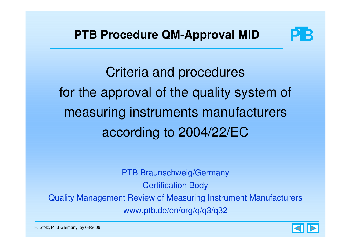

Criteria and procedures for the approval of the quality system of measuring instruments manufacturers according to 2004/22/EC

PTB Braunschweig/Germany Certification BodyQuality Management Review of Measuring Instrument Manufacturerswww.ptb.de/en/org/q/q3/q32

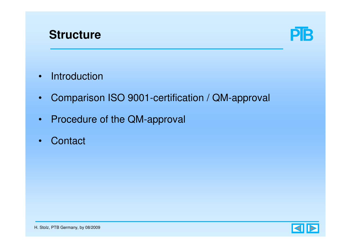



- •Introduction
- •Comparison ISO 9001-certification / QM-approval
- •Procedure of the QM-approval
- •**Contact**

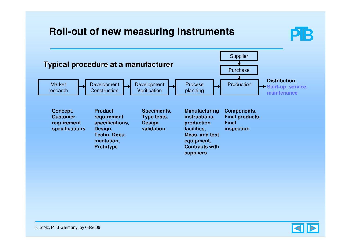### **Roll-out of new measuring instruments**





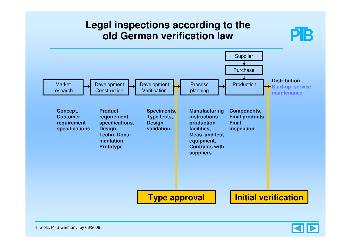### **Legal inspections according to the old German verification law**



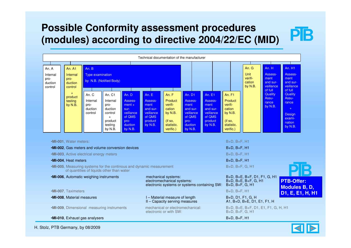## **Possible Conformity assessment procedures (modules) according to directive 2004/22/EC (MID)**



H. Stolz, PTB Germany, by 08/2009

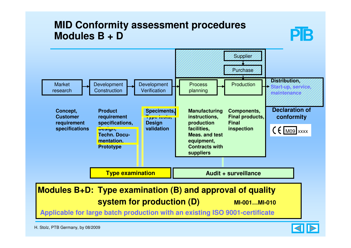### **MID Conformity assessment proceduresModules B + D**





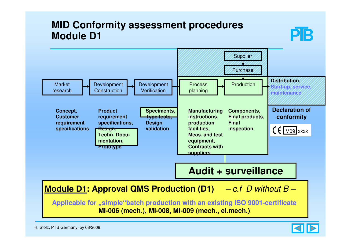### **MID Conformity assessment proceduresModule D1**



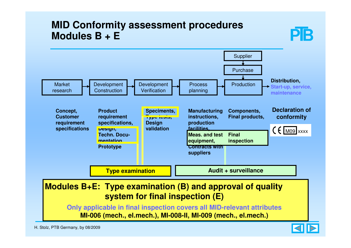### **MID Conformity assessment proceduresModules B + E**



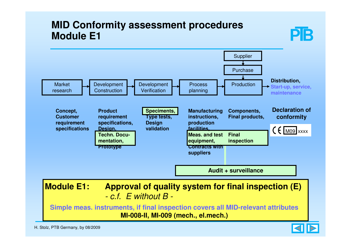### **MID Conformity assessment proceduresModule E1**



**Simple meas. instruments, if final inspection covers all MID-relevant attributesMI-008-II, MI-009 (mech., el.mech.)**

H. Stolz, PTB Germany, by 08/2009



PIB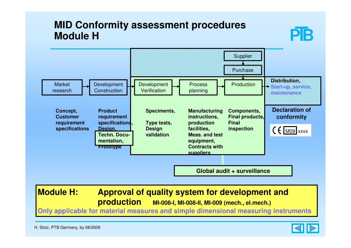## **MID Conformity assessment proceduresModule H**



**Module H: Approval of quality system for development andproduction MI-008-I, MI-008-II, MI-009 (mech., el.mech.)**

**Only applicable for material measures and simple dimensional measuring instruments**

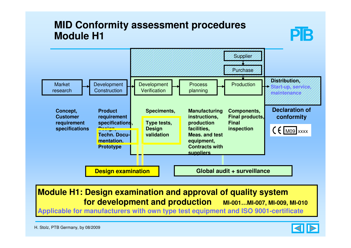## **MID Conformity assessment proceduresModule H1**



#### **Module H1: Design examination and approval of quality system for development and production MI-001…MI-007, MI-009, MI-010**

**Applicable for manufacturers with own type test equipment and ISO 9001-certificate**



PIB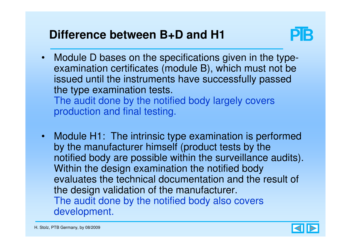## **Difference between B+D and H1**



• Module D bases on the specifications given in the typeexamination certificates (module B), which must not be issued until the instruments have successfully passed the type examination tests.The audit done by the notified body largely covers

production and final testing.

• Module H1: The intrinsic type examination is performed by the manufacturer himself (product tests by the notified body are possible within the surveillance audits).Within the design examination the notified body evaluates the technical documentation and the result of the design validation of the manufacturer. The audit done by the notified body also covers development.

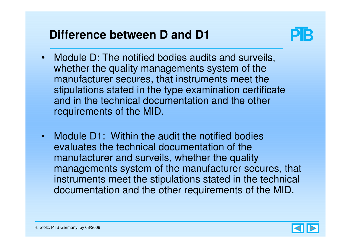## **Difference between D and D1**



- • Module D: The notified bodies audits and surveils, whether the quality managements system of the manufacturer secures, that instruments meet the stipulations stated in the type examination certificate and in the technical documentation and the other requirements of the MID.
- Module D1: Within the audit the notified bodies evaluates the technical documentation of the manufacturer and surveils, whether the quality managements system of the manufacturer secures, that instruments meet the stipulations stated in the technical documentation and the other requirements of the MID.

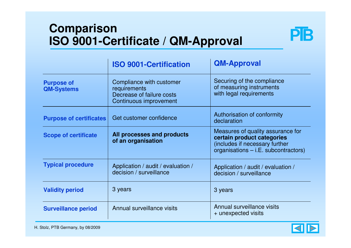## **ComparisonISO 9001-Certificate / QM-Approval**



|                                        | <b>ISO 9001-Certification</b>                                                                   | <b>QM-Approval</b>                                                                                                                          |  |
|----------------------------------------|-------------------------------------------------------------------------------------------------|---------------------------------------------------------------------------------------------------------------------------------------------|--|
| <b>Purpose of</b><br><b>QM-Systems</b> | Compliance with customer<br>requirements<br>Decrease of failure costs<br>Continuous improvement | Securing of the compliance<br>of measuring instruments<br>with legal requirements                                                           |  |
| <b>Purpose of certificates</b>         | Get customer confidence                                                                         | Authorisation of conformity<br>declaration                                                                                                  |  |
| <b>Scope of certificate</b>            | All processes and products<br>of an organisation                                                | Measures of quality assurance for<br>certain product categories<br>(includes if necessary further<br>organisations $-$ i.E. subcontractors) |  |
| <b>Typical procedure</b>               | Application / audit / evaluation /<br>decision / surveillance                                   | Application / audit / evaluation /<br>decision / surveillance                                                                               |  |
| <b>Validity period</b>                 | 3 years                                                                                         | 3 years                                                                                                                                     |  |
| <b>Surveillance period</b>             | Annual surveillance visits                                                                      | Annual surveillance visits<br>+ unexpected visits                                                                                           |  |

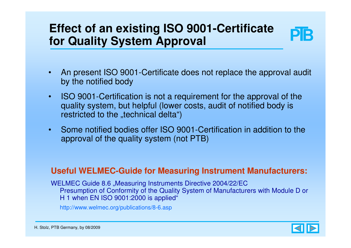## **Effect of an existing ISO 9001-Certificate for Quality System Approval**



- • An present ISO 9001-Certificate does not replace the approval audit by the notified body
- • ISO 9001-Certification is not a requirement for the approval of the quality system, but helpful (lower costs, audit of notified body is restricted to the "technical delta")
- • Some notified bodies offer ISO 9001-Certification in addition to the approval of the quality system (not PTB)

#### **Useful WELMEC-Guide for Measuring Instrument Manufacturers:**

WELMEC Guide 8.6 "Measuring Instruments Directive 2004/22/EC Presumption of Conformity of the Quality System of Manufacturers with Module D or H 1 when EN ISO 9001:2000 is applied"

http://www.welmec.org/publications/8-6.asp

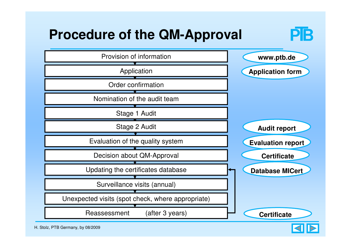

KI

H. Stolz, PTB Germany, by 08/2009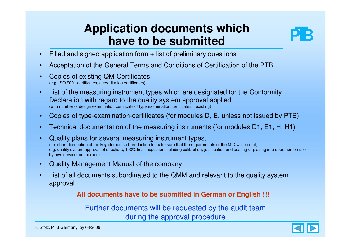## **Application documents which have to be submitted**



- Filled and signed application form + list of preliminary questions•
- •Acceptation of the General Terms and Conditions of Certification of the PTB
- • Copies of existing QM-Certificates(e.g. ISO 9001 certificates, accreditation certificates)
- • List of the measuring instrument types which are designated for the Conformity Declaration with regard to the quality system approval applied(with number of design examination certificates / type examination certificates if existing)
- •Copies of type-examination-certificates (for modules D, E, unless not issued by PTB)
- •Technical documentation of the measuring instruments (for modules D1, E1, H, H1)
- • Quality plans for several measuring instrument types, (i.e. short description of the key elements of production to make sure that the requirements of the MID will be met, e.g. quality system approval of suppliers, 100% final inspection including calibration, justification and sealing or placing into operation on site by own service technicians)
- •Quality Management Manual of the company
- • List of all documents subordinated to the QMM and relevant to the quality system approval

#### **All documents have to be submitted in German or English !!!**

Further documents will be requested by the audit teamduring the approval procedure

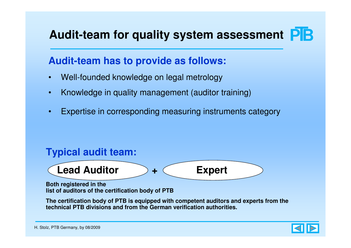# **Audit-team for quality system assessment**

### **Audit-team has to provide as follows:**

- •Well-founded knowledge on legal metrology
- •Knowledge in quality management (auditor training)
- •Expertise in corresponding measuring instruments category

### **Typical audit team:**



**Both registered in the list of auditors of the certification body of PTB**

**The certification body of PTB is equipped with competent auditors and experts from the technical PTB divisions and from the German verification authorities.**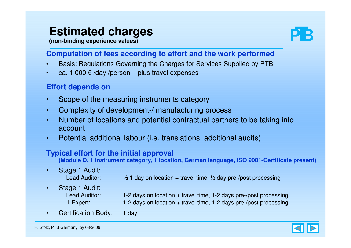## **Estimated charges**

**(non-binding experience values)**



#### **Computation of fees according to effort and the work performed**

- Basis: Regulations Governing the Charges for Services Supplied by PTB•
- •ca. 1.000  $\epsilon$  /day /person plus travel expenses

#### **Effort depends on**

- •Scope of the measuring instruments category
- •Complexity of development-/ manufacturing process
- Number of locations and potential contractual partners to be taking into •account
- •Potential additional labour (i.e. translations, additional audits)

#### **Typical effort for the initial approval**

**(Module D, 1 instrument category, 1 location, German language, ISO 9001-Certificate present)**

- • Stage 1 Audit: Lead Auditor:  $\frac{1}{2}$ -1 day on location + travel time,  $\frac{1}{2}$  day pre-/post processing
- • Stage 1 Audit: Lead Auditor: 1-2 days on location + travel time, 1-2 days pre-/post processing 1 Expert: 1-2 days on location + travel time, 1-2 days pre-/post processing
- •Certification Body: 1 day

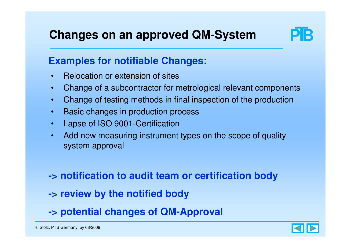## **Changes on an approved QM-System**



### **Examples for notifiable Changes:**

- •Relocation or extension of sites
- •Change of a subcontractor for metrological relevant components
- •Change of testing methods in final inspection of the production
- •Basic changes in production process
- •Lapse of ISO 9001-Certification
- • Add new measuring instrument types on the scope of quality system approval

**-> notification to audit team or certification body**

- **-> review by the notified body**
- **-> potential changes of QM-Approval**

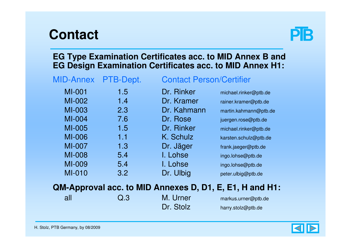# **Contact**



#### **EG Type Examination Certificates acc. to MID Annex B and EG Design Examination Certificates acc. to MID Annex H1:**

| <b>MID-Annex</b> | PTB-Dept. | <b>Contact Pers</b> |
|------------------|-----------|---------------------|
| <b>MI-001</b>    | 1.5       | Dr. Rinker          |
| MI-002           | 1.4       | Dr. Kramer          |
| MI-003           | 2.3       | Dr. Kahmann         |
| MI-004           | 7.6       | Dr. Rose            |
| MI-005           | 1.5       | Dr. Rinker          |
| <b>MI-006</b>    | 1.1       | K. Schulz           |
| MI-007           | 1.3       | Dr. Jäger           |
| <b>MI-008</b>    | 5.4       | I. Lohse            |
| MI-009           | 5.4       | I. Lohse            |
| <b>MI-010</b>    | 3.2       | Dr. Ulbig           |
|                  |           |                     |

#### on/Certifier

 michael.rinker@ptb.derainer.kramer@ptb.de martin.kahmann@ptb.de juergen.rose@ptb.de michael.rinker@ptb.de karsten.schulz@ptb.de frank.jaeger@ptb.de ingo.lohse@ptb.de ingo.lohse@ptb.de peter.ulbig@ptb.de

#### **QM-Approval acc. to MID Annexes D, D1, E, E1, H and H1:**

| all | Q <sub>0</sub> | M. Urner  | markus.urner@ptb.de |
|-----|----------------|-----------|---------------------|
|     |                | Dr. Stolz | harry.stolz@ptb.de  |